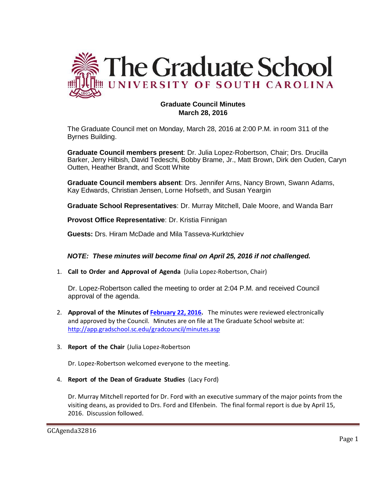

# **Graduate Council Minutes March 28, 2016**

The Graduate Council met on Monday, March 28, 2016 at 2:00 P.M. in room 311 of the Byrnes Building.

**Graduate Council members present**: Dr. Julia Lopez-Robertson, Chair; Drs. Drucilla Barker, Jerry Hilbish, David Tedeschi, Bobby Brame, Jr., Matt Brown, Dirk den Ouden, Caryn Outten, Heather Brandt, and Scott White

**Graduate Council members absent**: Drs. Jennifer Arns, Nancy Brown, Swann Adams, Kay Edwards, Christian Jensen, Lorne Hofseth, and Susan Yeargin

**Graduate School Representatives**: Dr. Murray Mitchell, Dale Moore, and Wanda Barr

**Provost Office Representative**: Dr. Kristia Finnigan

**Guests:** Drs. Hiram McDade and Mila Tasseva-Kurktchiev

# *NOTE: These minutes will become final on April 25, 2016 if not challenged.*

1. **Call to Order and Approval of Agenda** (Julia Lopez-Robertson, Chair)

Dr. Lopez-Robertson called the meeting to order at 2:04 P.M. and received Council approval of the agenda.

- 2. **Approval of the Minutes of [February 22, 2016.](http://gradschool.sc.edu/facstaff/gradcouncil/2015/GCMinutes20160222%20(mfm).pdf)** The minutes were reviewed electronically and approved by the Council. Minutes are on file at The Graduate School website at: <http://app.gradschool.sc.edu/gradcouncil/minutes.asp>
- 3. **Report of the Chair** (Julia Lopez-Robertson

Dr. Lopez-Robertson welcomed everyone to the meeting.

4. **Report of the Dean of Graduate Studies** (Lacy Ford)

Dr. Murray Mitchell reported for Dr. Ford with an executive summary of the major points from the visiting deans, as provided to Drs. Ford and Elfenbein. The final formal report is due by April 15, 2016. Discussion followed.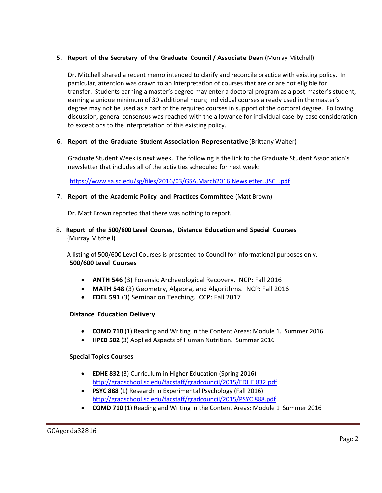# 5. **Report of the Secretary of the Graduate Council / Associate Dean** (Murray Mitchell)

Dr. Mitchell shared a recent memo intended to clarify and reconcile practice with existing policy. In particular, attention was drawn to an interpretation of courses that are or are not eligible for transfer. Students earning a master's degree may enter a doctoral program as a post-master's student, earning a unique minimum of 30 additional hours; individual courses already used in the master's degree may not be used as a part of the required courses in support of the doctoral degree. Following discussion, general consensus was reached with the allowance for individual case-by-case consideration to exceptions to the interpretation of this existing policy.

# 6. **Report of the Graduate Student Association Representative** (Brittany Walter)

Graduate Student Week is next week. The following is the link to the Graduate Student Association's newsletter that includes all of the activities scheduled for next week:

[https://www.sa.sc.edu/sg/files/2016/03/GSA.March2016.Newsletter.USC\\_.pdf](https://www.sa.sc.edu/sg/files/2016/03/GSA.March2016.Newsletter.USC_.pdf)

# 7. **Report of the Academic Policy and Practices Committee** (Matt Brown)

Dr. Matt Brown reported that there was nothing to report.

8. **Report of the 500/600 Level Courses, Distance Education and Special Courses** (Murray Mitchell)

A listing of 500/600 Level Courses is presented to Council for informational purposes only. **500/600 Level Courses**

- **ANTH 546** (3) Forensic Archaeological Recovery. NCP: Fall 2016
- **MATH 548** (3) Geometry, Algebra, and Algorithms. NCP: Fall 2016
- **EDEL 591** (3) Seminar on Teaching. CCP: Fall 2017

# **Distance Education Delivery**

- **COMD 710** (1) Reading and Writing in the Content Areas: Module 1. Summer 2016
- **HPEB 502** (3) Applied Aspects of Human Nutrition. Summer 2016

# **Special Topics Courses**

- **EDHE 832** (3) Curriculum in Higher Education (Spring 2016) [http://gradschool.sc.edu/facstaff/gradcouncil/2015/EDHE 832.pdf](http://gradschool.sc.edu/facstaff/gradcouncil/2015/EDHE%20832.pdf)
- **PSYC 888** (1) Research in Experimental Psychology (Fall 2016) [http://gradschool.sc.edu/facstaff/gradcouncil/2015/PSYC 888.pdf](http://gradschool.sc.edu/facstaff/gradcouncil/2015/PSYC%20888.pdf)
- **COMD 710** (1) Reading and Writing in the Content Areas: Module 1 Summer 2016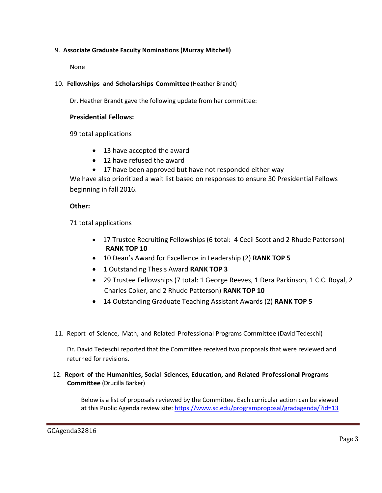# 9. **Associate Graduate Faculty Nominations (Murray Mitchell)**

None

# 10. **Fellowships and Scholarships Committee** (Heather Brandt)

Dr. Heather Brandt gave the following update from her committee:

## **Presidential Fellows:**

99 total applications

- 13 have accepted the award
- 12 have refused the award
- 17 have been approved but have not responded either way

We have also prioritized a wait list based on responses to ensure 30 Presidential Fellows beginning in fall 2016.

## **Other:**

71 total applications

- 17 Trustee Recruiting Fellowships (6 total: 4 Cecil Scott and 2 Rhude Patterson) **RANK TOP 10**
- 10 Dean's Award for Excellence in Leadership (2) **RANK TOP 5**
- 1 Outstanding Thesis Award **RANK TOP 3**
- 29 Trustee Fellowships (7 total: 1 George Reeves, 1 Dera Parkinson, 1 C.C. Royal, 2 Charles Coker, and 2 Rhude Patterson) **RANK TOP 10**
- 14 Outstanding Graduate Teaching Assistant Awards (2) **RANK TOP 5**
- 11. Report of Science, Math, and Related Professional Programs Committee (David Tedeschi)

Dr. David Tedeschi reported that the Committee received two proposals that were reviewed and returned for revisions.

# 12. **Report of the Humanities, Social Sciences, Education, and Related Professional Programs Committee** (Drucilla Barker)

Below is a list of proposals reviewed by the Committee. Each curricular action can be viewed at this Public Agenda review site:<https://www.sc.edu/programproposal/gradagenda/?id=13>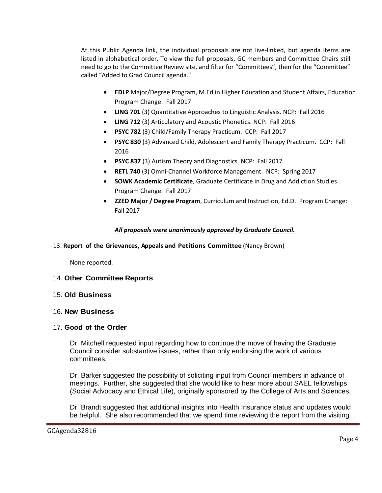At this Public Agenda link, the individual proposals are not live-linked, but agenda items are listed in alphabetical order. To view the full proposals, GC members and Committee Chairs still need to go to the Committee Review site, and filter for "Committees", then for the "Committee" called "Added to Grad Council agenda."

- **EDLP** Major/Degree Program, M.Ed in Higher Education and Student Affairs, Education. Program Change: Fall 2017
- **LING 701** (3) Quantitative Approaches to Linguistic Analysis. NCP: Fall 2016
- **LING 712** (3) Articulatory and Acoustic Phonetics. NCP: Fall 2016
- **PSYC 782** (3) Child/Family Therapy Practicum. CCP: Fall 2017
- **PSYC 830** (3) Advanced Child, Adolescent and Family Therapy Practicum. CCP: Fall 2016
- **PSYC 837** (3) Autism Theory and Diagnostics. NCP: Fall 2017
- **RETL 740** (3) Omni-Channel Workforce Management. NCP: Spring 2017
- **SOWK Academic Certificate**, Graduate Certificate in Drug and Addiction Studies. Program Change: Fall 2017
- **ZZED Major / Degree Program**, Curriculum and Instruction, Ed.D. Program Change: Fall 2017

## *All proposals were unanimously approved by Graduate Council.*

### 13. **Report of the Grievances, Appeals and Petitions Committee** (Nancy Brown)

None reported.

### 14. **Other Committee Reports**

### 15. **Old Business**

### 16**. New Business**

### 17. **Good of the Order**

Dr. Mitchell requested input regarding how to continue the move of having the Graduate Council consider substantive issues, rather than only endorsing the work of various committees.

Dr. Barker suggested the possibility of soliciting input from Council members in advance of meetings. Further, she suggested that she would like to hear more about SAEL fellowships (Social Advocacy and Ethical Life), originally sponsored by the College of Arts and Sciences.

Dr. Brandt suggested that additional insights into Health Insurance status and updates would be helpful. She also recommended that we spend time reviewing the report from the visiting